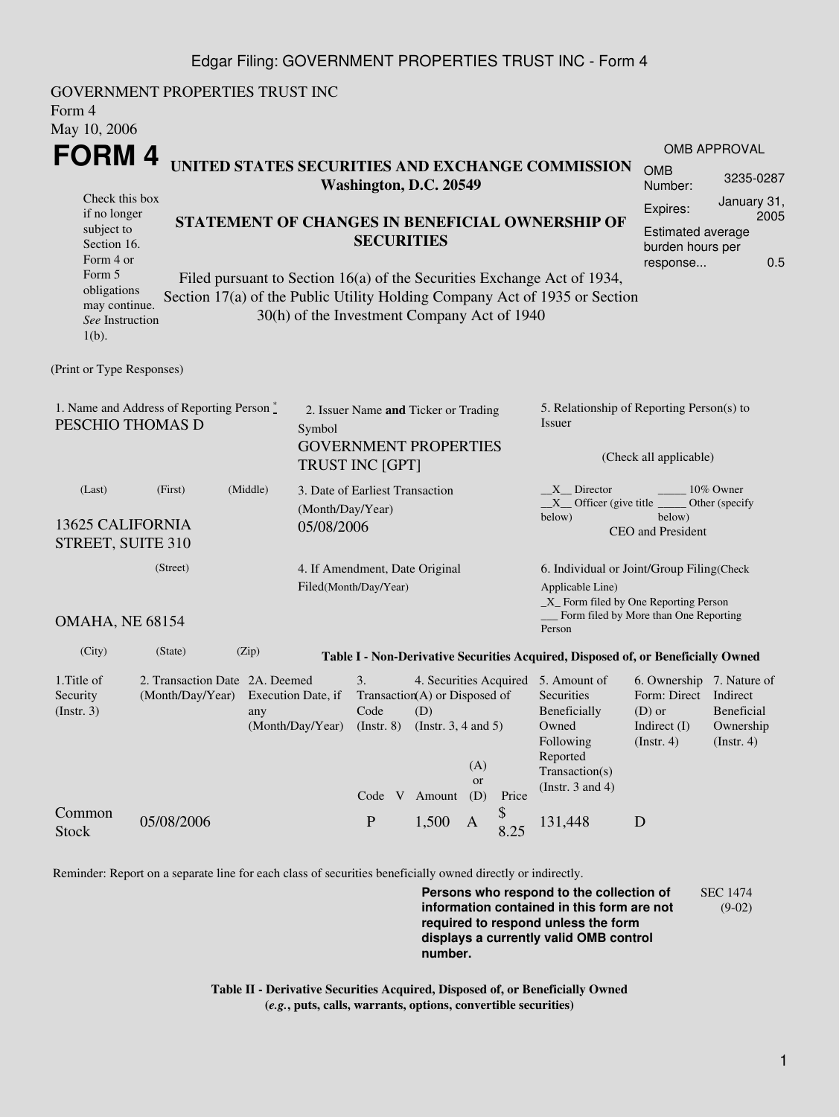## Edgar Filing: GOVERNMENT PROPERTIES TRUST INC - Form 4

| GOVERNMENT PROPERTIES TRUST INC<br>Form 4<br>May 10, 2006                                                                                                                                                                             |                                                                                         |                  |                                                                             |                                 |                                                                                                                                          |            |                                                                                                                                                |                                                                                                    |                                                                            |  |
|---------------------------------------------------------------------------------------------------------------------------------------------------------------------------------------------------------------------------------------|-----------------------------------------------------------------------------------------|------------------|-----------------------------------------------------------------------------|---------------------------------|------------------------------------------------------------------------------------------------------------------------------------------|------------|------------------------------------------------------------------------------------------------------------------------------------------------|----------------------------------------------------------------------------------------------------|----------------------------------------------------------------------------|--|
|                                                                                                                                                                                                                                       |                                                                                         |                  |                                                                             |                                 |                                                                                                                                          |            |                                                                                                                                                |                                                                                                    | <b>OMB APPROVAL</b>                                                        |  |
| FORM 4<br>UNITED STATES SECURITIES AND EXCHANGE COMMISSION<br>Washington, D.C. 20549                                                                                                                                                  |                                                                                         |                  |                                                                             |                                 |                                                                                                                                          |            |                                                                                                                                                | <b>OMB</b><br>Number:                                                                              | 3235-0287                                                                  |  |
| Check this box<br>if no longer<br>STATEMENT OF CHANGES IN BENEFICIAL OWNERSHIP OF<br>subject to<br><b>SECURITIES</b><br>Section 16.<br>Form 4 or<br>Form 5<br>Filed pursuant to Section 16(a) of the Securities Exchange Act of 1934, |                                                                                         |                  |                                                                             |                                 |                                                                                                                                          |            |                                                                                                                                                | Expires:<br>response                                                                               | January 31,<br>2005<br><b>Estimated average</b><br>burden hours per<br>0.5 |  |
| obligations<br>may continue.<br>See Instruction<br>$1(b)$ .                                                                                                                                                                           |                                                                                         |                  | 30(h) of the Investment Company Act of 1940                                 |                                 |                                                                                                                                          |            | Section 17(a) of the Public Utility Holding Company Act of 1935 or Section                                                                     |                                                                                                    |                                                                            |  |
| (Print or Type Responses)                                                                                                                                                                                                             |                                                                                         |                  |                                                                             |                                 |                                                                                                                                          |            |                                                                                                                                                |                                                                                                    |                                                                            |  |
| 1. Name and Address of Reporting Person*<br>PESCHIO THOMAS D                                                                                                                                                                          | 2. Issuer Name and Ticker or Trading<br><b>GOVERNMENT PROPERTIES</b><br>TRUST INC [GPT] |                  |                                                                             |                                 | 5. Relationship of Reporting Person(s) to<br>Issuer<br>(Check all applicable)                                                            |            |                                                                                                                                                |                                                                                                    |                                                                            |  |
| (First)<br>(Last)<br>13625 CALIFORNIA<br>STREET, SUITE 310                                                                                                                                                                            | 3. Date of Earliest Transaction<br>(Month/Day/Year)<br>05/08/2006                       |                  |                                                                             |                                 | $X$ Director<br>10% Owner<br>$X$ Officer (give title $\overline{\phantom{a}}$<br>Other (specify<br>below)<br>below)<br>CEO and President |            |                                                                                                                                                |                                                                                                    |                                                                            |  |
| (Street)<br>4. If Amendment, Date Original<br>Filed(Month/Day/Year)                                                                                                                                                                   |                                                                                         |                  |                                                                             |                                 |                                                                                                                                          |            | 6. Individual or Joint/Group Filing(Check<br>Applicable Line)<br>_X_ Form filed by One Reporting Person                                        |                                                                                                    |                                                                            |  |
| OMAHA, NE 68154                                                                                                                                                                                                                       |                                                                                         |                  |                                                                             |                                 |                                                                                                                                          |            | __ Form filed by More than One Reporting<br>Person                                                                                             |                                                                                                    |                                                                            |  |
| (City)<br>(State)                                                                                                                                                                                                                     | (Zip)                                                                                   |                  |                                                                             |                                 |                                                                                                                                          |            | Table I - Non-Derivative Securities Acquired, Disposed of, or Beneficially Owned                                                               |                                                                                                    |                                                                            |  |
| 1. Title of<br>Security<br>(Insert. 3)                                                                                                                                                                                                | 2. Transaction Date 2A. Deemed<br>(Month/Day/Year) Execution Date, if<br>any            | (Month/Day/Year) | 3.<br>Transaction(A) or Disposed of<br>Code<br>(Insert. 8)<br>Code V Amount | (D)<br>(Instr. $3, 4$ and $5$ ) | (A)<br>or<br>(D)                                                                                                                         | Price      | 4. Securities Acquired 5. Amount of<br>Securities<br>Beneficially<br>Owned<br>Following<br>Reported<br>Transaction(s)<br>(Instr. $3$ and $4$ ) | 6. Ownership 7. Nature of<br>Form: Direct Indirect<br>$(D)$ or<br>Indirect (I)<br>$($ Instr. 4 $)$ | Beneficial<br>Ownership<br>$($ Instr. 4 $)$                                |  |
| Common<br>05/08/2006<br><b>Stock</b>                                                                                                                                                                                                  |                                                                                         |                  | ${\bf P}$                                                                   | 1,500                           | A                                                                                                                                        | \$<br>8.25 | 131,448                                                                                                                                        | D                                                                                                  |                                                                            |  |

Reminder: Report on a separate line for each class of securities beneficially owned directly or indirectly.

**Persons who respond to the collection of information contained in this form are not required to respond unless the form displays a currently valid OMB control number.** SEC 1474 (9-02)

**Table II - Derivative Securities Acquired, Disposed of, or Beneficially Owned (***e.g.***, puts, calls, warrants, options, convertible securities)**